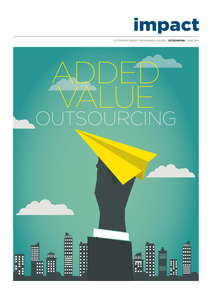

**ACTIONABLE INSIGHT FOR BUSINESS LEADERS / OUTSOURCING / JUNE 2016**

# ADDED VALUE RCING

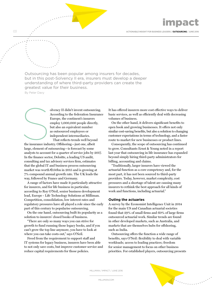03 **ACTIONABLE INSIGHT FOR BUSINESS LEADERS / OUTSOURCING / JUNE 2016**

Outsourcing has been popular among insurers for decades, but in this post-Solvency II era, insurers must develop a deeper understanding of where third-party providers can create the greatest value for their business. By Peter Davy

> olvency II didn't invent outsourcing. According to the federation Insurance Europe, the continent's insurers employ 1,000,000 people directly, but also an equivalent number as outsourced employees or independent intermediaries. That reflects trends well beyond

the insurance industry. Offshoring—just one, albeit large, element of outsourcing—is forecast by some analysts to account for a quarter of service jobs by 2017. In the finance sector, Deloitte, a leading US audit, consulting and tax advisory services firm, estimates that the global IT and business process outsourcing market was worth €150bn in 2015 and is growing at 7% compound annual growth rate. The UK leads the way, followed by France and Germany. the insurance indu

A range of factors have made it particularly attractive for insurers, and for life business in particular, according to Roy O'Neil, senior business development lead, Europe - Life Technology Solutions at Milliman. Competition, consolidation, low interest rates and regulatory pressures have all played a role since the early part of this century to popularise outsourcing.

On the one hand, outsourcing built its popularity as a solution to insurers' closed books of business.

"There are only so many ways you can strive for growth to fund running those legacy books, and if you can't grow the top line anymore, you have to look at where you can take costs out," says O'Neil.

Freed from the requirement to support staff and IT systems for legacy business, insurers have been able to not only save costs, but improve customer service and reduce capital requirements for those policies.

It has offered insurers more cost effective ways to deliver basic services, as well as efficiently deal with decreasing volumes of business.

On the other hand, it delivers significant benefits to open book and growing businesses. It offers not only similar cost-saving benefits, but also a solution to changing customer expectations in terms of technology, and a faster route to market for new businesses or product lines.

Consequently, the scope of outsourcing has continued to grow. Consultants Ernst & Young noted in a report last year that outsourcing in life insurance has expanded beyond simply hiring third-party administrators for billing, accounting and claims.

"Traditionally, larger insurers have viewed the actuarial function as a core competency and, for the most part, it has not been sourced to third-party providers. Today, however, market complexity, cost pressures and a shortage of talent are causing many insurers to rethink the best approach for all kinds of work and functions, including actuarial."

### **Outing the actuaries**

A survey by the Economist Intelligence Unit in 2014 for the main US and Canadian actuarial societies found that 29% of small firms and 60% of large firms outsourced actuarial work. Similar trends are found in other developed markets, such as Australia, and markets that are themselves hubs for offshoring, such as India.

Outsourcing offers the function a wide range of benefits, says O'Neil: flexibility to deal with variable workloads; access to leading practices; freedom for senior management to focus on other business priorities. For established players, outsourcing presents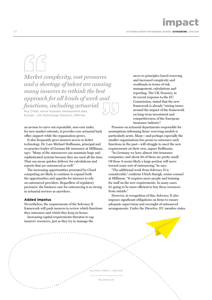04 **ACTIONABLE INSIGHT FOR BUSINESS LEADERS / OUTSOURCING / JUNE 2016**

*Market complexity, cost pressures and a shortage of talent are causing many insurers to rethink the best approach for all kinds of work and functions, including actuarial.* 

Roy O'Neil, senior business development lead, Europe - Life Technology Solutions, Milliman

an avenue to carve out repeatable, non-core tasks; for new market entrants, it provides core actuarial back office support while the organisation grows.

It also frequently gives insurers access to better technology. Dr. Lars Michael Hoffmann, principal and co-practice leader of German life insurance at Milliman, says: "Many of the outsourcers can maintain huge and sophisticated systems because they are used all the time. That can mean quicker delivery for calculations and reports that are outsourced as well."

The increasing opportunities presented by Cloud computing are likely to continue to expand both the opportunities and appetite for insurers to rely on outsourced providers. Regardless of regulatory pressures, the business case for outsourcing is as strong in actuarial services as anywhere.

### **Added impetus**

Nevertheless, the requirements of the Solvency II framework will push insurers to review which functions they outsource and which they keep in-house.

Increasing capital requirements threaten to sap insurers' resources, just as they try to manage the

move to principles-based reserving and increased complexity and workloads in terms of risk management, calculations and reporting. The UK Treasury, in its recent response to the EU Commission, stated that the new framework is already "raising issues around the impact of the framework on long-term investment and competitiveness of the European insurance industry".

Pressure on actuarial departments responsible for assumptions informing firms' reserving models is particularly acute. Many—and perhaps especially the smaller organisations less prone to outsource such functions in the past—will struggle to meet the new requirements on their own, argues Hoffmann.

"In Germany we have almost 100 insurance companies, and about 80 of them are pretty small. Of those it seems likely a large portion will move toward some sort of outsourcing," he says.

"The additional work from Solvency II is considerable," confirms Ulrich Starigk, senior counsel at Milliman. "It requires more people and training for staff on the new requirements. In many cases it's going to be more efficient to buy these resources from outside."

However, in recognition of this, Solvency II also imposes significant obligations on firms to ensure adequate supervision and oversight of outsourced arrangements. Under the Directive, EU member states

MILLIMAN.COM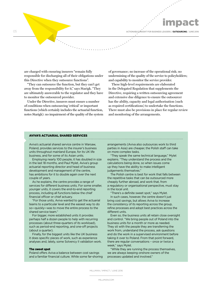**ACTIONABLE INSIGHT FOR BUSINESS LEADERS / OUTSOURCING / JUNE 2016**

are charged with ensuring insurers "remain fully responsible for discharging all of their obligations under this Directive when they outsource functions".

05

"They can outsource the function, but they can't get away from the responsibility for it," says Starigk. "They are ultimately answerable to the regulator and they have to monitor the outsourced provider.

Under the Directive, insurers must ensure a number of conditions when outsourcing 'critical' or important functions (which certainly includes the actuarial function, notes Starigk): no impairment of the quality of the system of governance; no increase of the operational risk; no undermining of the quality of the service to policyholders; and capability to monitor the service provider.

These high-level requirements are elaborated in the Delegated Regulation that supplements the Directive, requiring a written outsourcing agreement and extensive due diligence to ensure the outsourcer has the ability, capacity and legal authorisation (such as required certifications) to undertake the functions. There must also be provisions in place for regular review and monitoring of the arrangements.

### AVIVA'S ACTUARIAL SHARED SERVICES

Aviva's actuarial shared service centre in Warsaw, Poland, provides services to the insurer's business units throughout mainland Europe, for its UK life business, and for some of its Asian units.

Employing nearly 100 people, it has doubled in size in the last 18 months, and Paul Mylet, Aviva's group actuarial reporting director and head of business development and management of the centre, has ambitions for it to double again over the next couple of years.

As he explains, the centre provides a range of services for different business units. For some smaller, younger units, it covers the end-to-end reporting process, including all functions below the chief financial officer or chief actuary.

"For those units, Aviva wanted to get the actuarial teams to a particular level and the easiest way to do so—quickly—was to move the entire process to the shared service team."

For bigger, more established units it provides perhaps half a dozen people to help with recurring processes (about three-quarters of its workload), such as period-end reporting, and one-off projects (about a quarter).

Finally, for the biggest units like the UK business it does specific pieces of work, such as experience analyses and, lately, some Solvency II validation work.

### The sweet spot

Poland offers Aviva a balance between cost savings and a familiar financial culture. While some far-shoring arrangements (Aviva also outsources work to third parties in Asia) are cheaper, the Polish staff can take on more complex tasks.

"They speak the same technical language," Mylet explains. "They understand the process and the calculations being done, so when issues come up they have the ability to make intelligent judgements themselves."

The Polish centre is best for work that falls between the repetitive tasks that can be outsourced more cheaply further abroad, and work that, from a regulatory or organisational perspective, must stay in the local unit.

"There's a definite sweet spot," says Mylet. In such cases, however, the centre doesn't just bring cost savings, but allows Aviva to increase the consistency of its reporting across the group, refine processes and adopt best practices across the different units.

Even so, the business units all retain close oversight and control. "We bring people out of Poland into the business units for a month or more as needed. They sit with the people they are transferring the work from, understand the process, ask questions and do the work in a supervised environment before taking it over to Poland. From that point forward, there are regular conversations – once or twice a week," says Mylet.

"While they are running the process themselves, we are always keeping onshore owners of the processes updated and involved."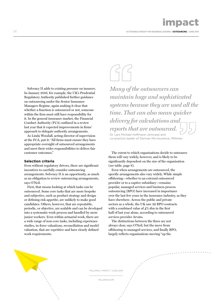06 **ACTIONABLE INSIGHT FOR BUSINESS LEADERS / OUTSOURCING / JUNE 2016**

Solvency II adds to existing pressure on insurers. In January 2016, for example, the UK's Prudential Regulatory Authority published further guidance on outsourcing under the Senior Insurance Managers Regime, again making it clear that whether a function is outsourced or not, someone within the firm must still have responsibility for it. In the general insurance market, the Financial Conduct Authority (FCA) outlined in a review last year that it expected improvements in firms' approach to delegate authority arrangements.

As Linda Woodall, acting director of supervision at the FCA, put it: "All firms must ensure they have appropriate oversight of outsourced arrangements and meet their wider responsibilities to deliver fair customer outcomes."

## **Selection criteria**

Even without regulatory drivers, there are significant incentives to carefully consider outsourcing arrangements. Solvency II is an opportunity, as much as an obligation to review outsourcing arrangements, says O'Neil.

First, that means looking at which tasks can be outsourced. Some core tasks that are more bespoke and subjective, such as product strategy and design or defining risk appetite, are unlikely to make good candidates. Others, however, that are repeatable, periodic, or objective, are scalable and can be developed into a systematic work process and handled by more junior workers. Even within actuarial work, there are a wide range of non-core tasks, including experience studies, in-force valuations, reconciliation and model valuation, that are repetitive and have clearly defined work requirements.

*Many of the outsourcers can maintain huge and sophisticated systems because they are used all the time. That can also mean quicker delivery for calculations and reports that are outsourced.* 

Dr. Lars Michael Hoffmann, principal and co-practice leader of German life insurance, Milliman

The extent to which organisations decide to outsource them will vary widely, however, and is likely to be significantly dependent on the size of the organisation (see table, page 6).

Even when arrangements are outsourced, the specific arrangements also vary widely. While simple offshoring—whether to an external outsourced provider or to a captive subsidiary—remains popular, managed services and business process outsourcing (BPO) have increased in importance over the last few years in the insurance industry, as they have elsewhere. Across the public and private sectors as a whole, the UK saw 39 BPO contracts with a combined value of  $\pounds$ 1.4bn in the first half of last year alone, according to outsourced services provider Arvato.

The distinctions between the three are not always clear, says O'Neil, but the move from offshoring to managed services, and finally BPO, largely reflects organisations moving "up the

MILLIMAN / IMPACT / JUNE 2016

MILLIMAN.COM